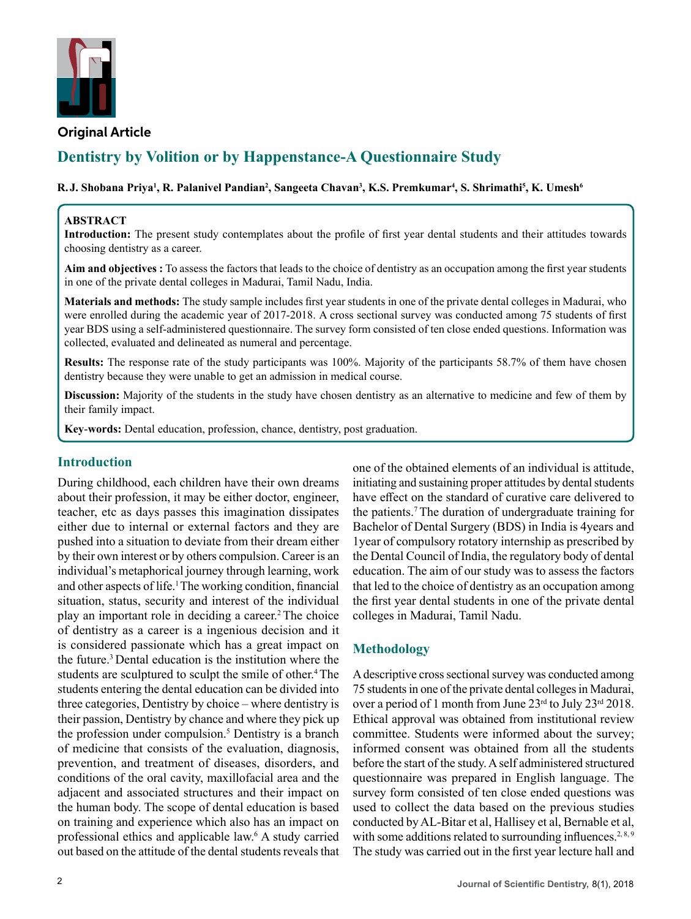

**Original Article**

# **Dentistry by Volition or by Happenstance-A Questionnaire Study**

## ${\bf R. J. Shobana Priya<sup>1</sup>, R. Palanivel Pandian<sup>2</sup>, Sangeeta Chavan<sup>3</sup>, K.S. Premkumar<sup>4</sup>, S. Shrimathi<sup>5</sup>, K. Umesh<sup>6</sup>$

#### **ABSTRACT**

**Introduction:** The present study contemplates about the profile of first year dental students and their attitudes towards choosing dentistry as a career.

**Aim and objectives :** To assess the factors that leads to the choice of dentistry as an occupation among the first year students in one of the private dental colleges in Madurai, Tamil Nadu, India.

**Materials and methods:** The study sample includes first year students in one of the private dental colleges in Madurai, who were enrolled during the academic year of 2017-2018. A cross sectional survey was conducted among 75 students of first year BDS using a self-administered questionnaire. The survey form consisted of ten close ended questions. Information was collected, evaluated and delineated as numeral and percentage.

**Results:** The response rate of the study participants was 100%. Majority of the participants 58.7% of them have chosen dentistry because they were unable to get an admission in medical course.

**Discussion:** Majority of the students in the study have chosen dentistry as an alternative to medicine and few of them by their family impact.

**Key**-**words:** Dental education, profession, chance, dentistry, post graduation.

## **Introduction**

During childhood, each children have their own dreams about their profession, it may be either doctor, engineer, teacher, etc as days passes this imagination dissipates either due to internal or external factors and they are pushed into a situation to deviate from their dream either by their own interest or by others compulsion. Career is an individual's metaphorical journey through learning, work and other aspects of life.<sup>1</sup>The working condition, financial situation, status, security and interest of the individual play an important role in deciding a career.<sup>2</sup> The choice of dentistry as a career is a ingenious decision and it is considered passionate which has a great impact on the future.<sup>3</sup>Dental education is the institution where the students are sculptured to sculpt the smile of other.<sup>4</sup>The students entering the dental education can be divided into three categories, Dentistry by choice – where dentistry is their passion, Dentistry by chance and where they pick up the profession under compulsion.<sup>5</sup> Dentistry is a branch of medicine that consists of the evaluation, diagnosis, prevention, and treatment of diseases, disorders, and conditions of the oral cavity, maxillofacial area and the adjacent and associated structures and their impact on the human body. The scope of dental education is based on training and experience which also has an impact on professional ethics and applicable law.<sup>6</sup> A study carried out based on the attitude of the dental students reveals that

one of the obtained elements of an individual is attitude, initiating and sustaining proper attitudes by dental students have effect on the standard of curative care delivered to the patients.7 The duration of undergraduate training for Bachelor of Dental Surgery (BDS) in India is 4years and 1year of compulsory rotatory internship as prescribed by the Dental Council of India, the regulatory body of dental education. The aim of our study was to assess the factors that led to the choice of dentistry as an occupation among the first year dental students in one of the private dental colleges in Madurai, Tamil Nadu.

# **Methodology**

A descriptive cross sectional survey was conducted among 75 students in one of the private dental colleges in Madurai, over a period of 1 month from June  $23<sup>rd</sup>$  to July  $23<sup>rd</sup>$  2018. Ethical approval was obtained from institutional review committee. Students were informed about the survey; informed consent was obtained from all the students before the start of the study. A self administered structured questionnaire was prepared in English language. The survey form consisted of ten close ended questions was used to collect the data based on the previous studies conducted by AL-Bitar et al, Hallisey et al, Bernable et al, with some additions related to surrounding influences.<sup>2,8,9</sup> The study was carried out in the first year lecture hall and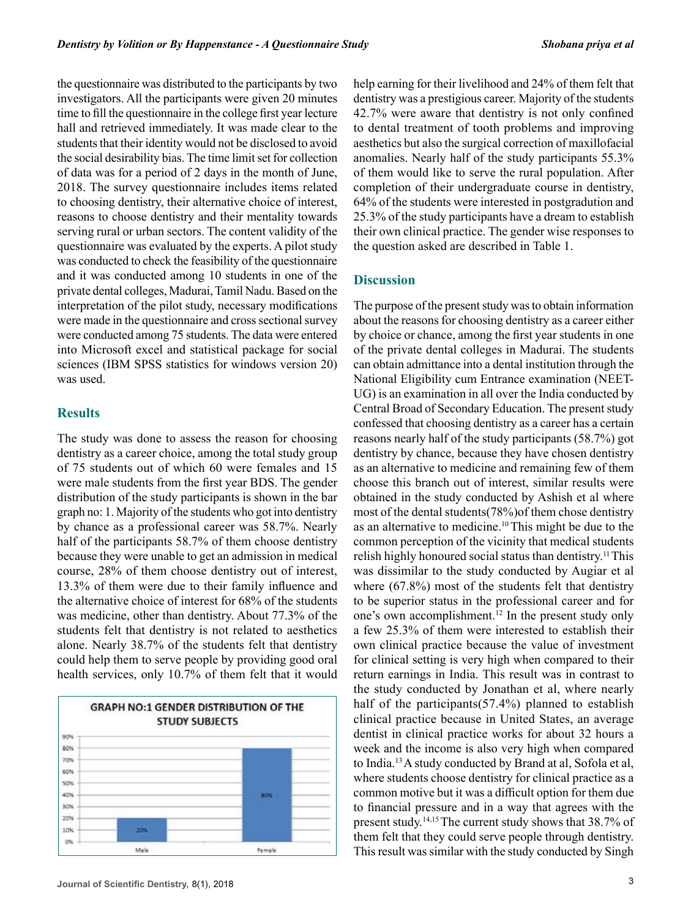the questionnaire was distributed to the participants by two investigators. All the participants were given 20 minutes time to fill the questionnaire in the college first year lecture hall and retrieved immediately. It was made clear to the students that their identity would not be disclosed to avoid the social desirability bias. The time limit set for collection of data was for a period of 2 days in the month of June, 2018. The survey questionnaire includes items related to choosing dentistry, their alternative choice of interest, reasons to choose dentistry and their mentality towards serving rural or urban sectors. The content validity of the questionnaire was evaluated by the experts. A pilot study was conducted to check the feasibility of the questionnaire and it was conducted among 10 students in one of the private dental colleges, Madurai, Tamil Nadu. Based on the interpretation of the pilot study, necessary modifications were made in the questionnaire and cross sectional survey were conducted among 75 students. The data were entered into Microsoft excel and statistical package for social sciences (IBM SPSS statistics for windows version 20) was used.

#### **Results**

The study was done to assess the reason for choosing dentistry as a career choice, among the total study group of 75 students out of which 60 were females and 15 were male students from the first year BDS. The gender distribution of the study participants is shown in the bar graph no: 1. Majority of the students who got into dentistry by chance as a professional career was 58.7%. Nearly half of the participants 58.7% of them choose dentistry because they were unable to get an admission in medical course, 28% of them choose dentistry out of interest, 13.3% of them were due to their family influence and the alternative choice of interest for 68% of the students was medicine, other than dentistry. About 77.3% of the students felt that dentistry is not related to aesthetics alone. Nearly 38.7% of the students felt that dentistry could help them to serve people by providing good oral health services, only 10.7% of them felt that it would



help earning for their livelihood and 24% of them felt that dentistry was a prestigious career. Majority of the students 42.7% were aware that dentistry is not only confined to dental treatment of tooth problems and improving aesthetics but also the surgical correction of maxillofacial anomalies. Nearly half of the study participants 55.3% of them would like to serve the rural population. After completion of their undergraduate course in dentistry, 64% of the students were interested in postgradution and 25.3% of the study participants have a dream to establish their own clinical practice. The gender wise responses to the question asked are described in Table 1.

#### **Discussion**

The purpose of the present study was to obtain information about the reasons for choosing dentistry as a career either by choice or chance, among the first year students in one of the private dental colleges in Madurai. The students can obtain admittance into a dental institution through the National Eligibility cum Entrance examination (NEET-UG) is an examination in all over the India conducted by Central Broad of Secondary Education. The present study confessed that choosing dentistry as a career has a certain reasons nearly half of the study participants (58.7%) got dentistry by chance, because they have chosen dentistry as an alternative to medicine and remaining few of them choose this branch out of interest, similar results were obtained in the study conducted by Ashish et al where most of the dental students(78%)of them chose dentistry as an alternative to medicine.<sup>10</sup> This might be due to the common perception of the vicinity that medical students relish highly honoured social status than dentistry.<sup>11</sup> This was dissimilar to the study conducted by Augiar et al where (67.8%) most of the students felt that dentistry to be superior status in the professional career and for one's own accomplishment.12 In the present study only a few 25.3% of them were interested to establish their own clinical practice because the value of investment for clinical setting is very high when compared to their return earnings in India. This result was in contrast to the study conducted by Jonathan et al, where nearly half of the participants(57.4%) planned to establish clinical practice because in United States, an average dentist in clinical practice works for about 32 hours a week and the income is also very high when compared to India.<sup>13</sup>A study conducted by Brand at al, Sofola et al, where students choose dentistry for clinical practice as a common motive but it was a difficult option for them due to financial pressure and in a way that agrees with the present study.14,15 The current study shows that 38.7% of them felt that they could serve people through dentistry. This result was similar with the study conducted by Singh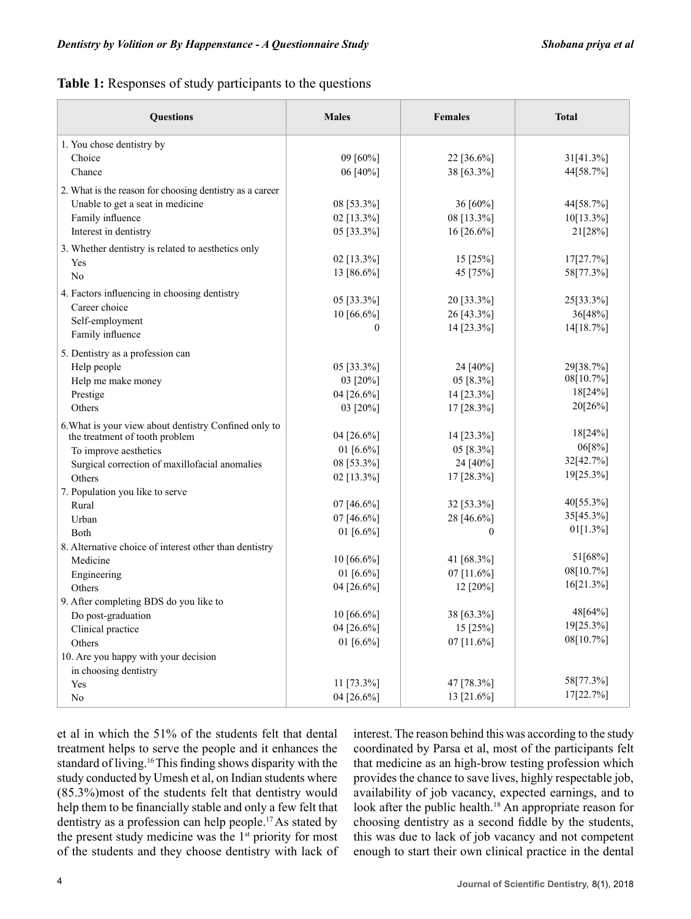**Table 1:** Responses of study participants to the questions

| <b>Questions</b>                                         | <b>Males</b> | <b>Females</b> | <b>Total</b>           |
|----------------------------------------------------------|--------------|----------------|------------------------|
| 1. You chose dentistry by                                |              |                |                        |
| Choice                                                   | 09 [60%]     | 22 [36.6%]     | 31[41.3%]              |
| Chance                                                   | 06 [40%]     | 38 [63.3%]     | 44[58.7%]              |
| 2. What is the reason for choosing dentistry as a career |              |                |                        |
| Unable to get a seat in medicine                         | 08 [53.3%]   | 36 [60%]       | 44[58.7%]              |
| Family influence                                         | 02 [13.3%]   | 08 [13.3%]     | 10[13.3%]              |
| Interest in dentistry                                    | 05 [33.3%]   | 16 [26.6%]     | 21[28%]                |
| 3. Whether dentistry is related to aesthetics only       |              |                |                        |
| Yes                                                      | 02 [13.3%]   | 15 [25%]       | 17[27.7%]              |
| N <sub>o</sub>                                           | 13 [86.6%]   | 45 [75%]       | 58[77.3%]              |
| 4. Factors influencing in choosing dentistry             |              |                |                        |
| Career choice                                            | 05 [33.3%]   | 20 [33.3%]     | 25[33.3%]              |
| Self-employment                                          | 10 [66.6%]   | 26 [43.3%]     | 36[48%]                |
| Family influence                                         | 0            | 14 [23.3%]     | 14[18.7%]              |
| 5. Dentistry as a profession can                         |              |                |                        |
| Help people                                              | 05 [33.3%]   | 24 [40%]       | 29[38.7%]              |
| Help me make money                                       | 03 [20%]     | 05 [8.3%]      | 08[10.7%]              |
| Prestige                                                 | 04 [26.6%]   | 14 [23.3%]     | 18[24%]                |
| Others                                                   | 03 [20%]     | 17 [28.3%]     | 20[26%]                |
| 6. What is your view about dentistry Confined only to    |              |                |                        |
| the treatment of tooth problem                           | 04 [26.6%]   | 14 [23.3%]     | 18[24%]                |
| To improve aesthetics                                    | 01 [6.6%]    | 05 [8.3%]      | 06[8%]                 |
| Surgical correction of maxillofacial anomalies           | 08 [53.3%]   | 24 [40%]       | 32[42.7%]              |
| Others                                                   | 02 [13.3%]   | 17 [28.3%]     | 19[25.3%]              |
| 7. Population you like to serve                          |              |                |                        |
| Rural                                                    | 07 [46.6%]   | 32 [53.3%]     | 40[55.3%]              |
| Urban                                                    | 07 [46.6%]   | 28 [46.6%]     | 35[45.3%]              |
| Both                                                     | 01 [6.6%]    | $\Omega$       | 01[1.3%]               |
| 8. Alternative choice of interest other than dentistry   |              |                |                        |
| Medicine                                                 | 10 [66.6%]   | 41 [68.3%]     | 51[68%]                |
| Engineering                                              | 01 [6.6%]    | 07 [11.6%]     | 08[10.7%]              |
| Others                                                   | 04 [26.6%]   | 12 [20%]       | 16[21.3%]              |
| 9. After completing BDS do you like to                   |              |                |                        |
| Do post-graduation                                       | 10 [66.6%]   | 38 [63.3%]     | 48[64%]                |
| Clinical practice                                        | 04 [26.6%]   | 15 [25%]       | 19[25.3%]<br>08[10.7%] |
| Others                                                   | 01 [6.6%]    | 07 [11.6%]     |                        |
| 10. Are you happy with your decision                     |              |                |                        |
| in choosing dentistry                                    |              |                | 58[77.3%]              |
| Yes                                                      | 11 [73.3%]   | 47 [78.3%]     | 17[22.7%]              |
| $\rm No$                                                 | 04 [26.6%]   | 13 [21.6%]     |                        |

et al in which the 51% of the students felt that dental treatment helps to serve the people and it enhances the standard of living.<sup>16</sup>This finding shows disparity with the study conducted by Umesh et al, on Indian students where (85.3%)most of the students felt that dentistry would help them to be financially stable and only a few felt that dentistry as a profession can help people.17 As stated by the present study medicine was the  $1<sup>st</sup>$  priority for most of the students and they choose dentistry with lack of interest. The reason behind this was according to the study coordinated by Parsa et al, most of the participants felt that medicine as an high-brow testing profession which provides the chance to save lives, highly respectable job, availability of job vacancy, expected earnings, and to look after the public health.<sup>18</sup> An appropriate reason for choosing dentistry as a second fiddle by the students, this was due to lack of job vacancy and not competent enough to start their own clinical practice in the dental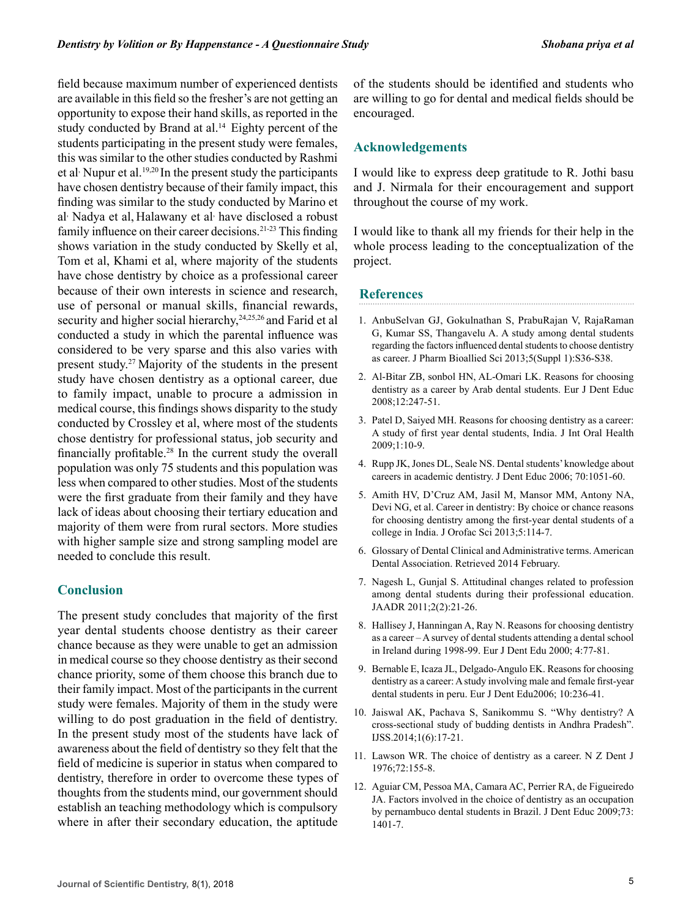field because maximum number of experienced dentists are available in this field so the fresher's are not getting an opportunity to expose their hand skills, as reported in the study conducted by Brand at al.<sup>14</sup> Eighty percent of the students participating in the present study were females, this was similar to the other studies conducted by Rashmi et al Nupur et al.<sup>19,20</sup> In the present study the participants have chosen dentistry because of their family impact, this finding was similar to the study conducted by Marino et al<sup>,</sup> Nadya et al, Halawany et al<sup>,</sup> have disclosed a robust family influence on their career decisions.<sup>21-23</sup> This finding shows variation in the study conducted by Skelly et al, Tom et al, Khami et al, where majority of the students have chose dentistry by choice as a professional career because of their own interests in science and research, use of personal or manual skills, financial rewards, security and higher social hierarchy,<sup>24,25,26</sup> and Farid et al conducted a study in which the parental influence was considered to be very sparse and this also varies with present study.27 Majority of the students in the present study have chosen dentistry as a optional career, due to family impact, unable to procure a admission in medical course, this findings shows disparity to the study conducted by Crossley et al, where most of the students chose dentistry for professional status, job security and financially profitable.28 In the current study the overall population was only 75 students and this population was less when compared to other studies. Most of the students were the first graduate from their family and they have lack of ideas about choosing their tertiary education and majority of them were from rural sectors. More studies with higher sample size and strong sampling model are needed to conclude this result.

## **Conclusion**

The present study concludes that majority of the first year dental students choose dentistry as their career chance because as they were unable to get an admission in medical course so they choose dentistry as their second chance priority, some of them choose this branch due to their family impact. Most of the participants in the current study were females. Majority of them in the study were willing to do post graduation in the field of dentistry. In the present study most of the students have lack of awareness about the field of dentistry so they felt that the field of medicine is superior in status when compared to dentistry, therefore in order to overcome these types of thoughts from the students mind, our government should establish an teaching methodology which is compulsory where in after their secondary education, the aptitude

of the students should be identified and students who are willing to go for dental and medical fields should be encouraged.

## **Acknowledgements**

I would like to express deep gratitude to R. Jothi basu and J. Nirmala for their encouragement and support throughout the course of my work.

I would like to thank all my friends for their help in the whole process leading to the conceptualization of the project.

#### **References**

- 1. AnbuSelvan GJ, Gokulnathan S, PrabuRajan V, RajaRaman G, Kumar SS, Thangavelu A. A study among dental students regarding the factors influenced dental students to choose dentistry as career. J Pharm Bioallied Sci 2013;5(Suppl 1):S36-S38.
- 2. Al-Bitar ZB, sonbol HN, AL-Omari LK. Reasons for choosing dentistry as a career by Arab dental students. Eur J Dent Educ 2008;12:247-51.
- 3. Patel D, Saiyed MH. Reasons for choosing dentistry as a career: A study of first year dental students, India. J Int Oral Health 2009;1:10-9.
- 4. Rupp JK, Jones DL, Seale NS. Dental students' knowledge about careers in academic dentistry. J Dent Educ 2006; 70:1051-60.
- 5. Amith HV, D'Cruz AM, Jasil M, Mansor MM, Antony NA, Devi NG, et al. Career in dentistry: By choice or chance reasons for choosing dentistry among the first-year dental students of a college in India. J Orofac Sci 2013;5:114-7.
- 6. Glossary of Dental Clinical and Administrative terms. American Dental Association. Retrieved 2014 February.
- 7. Nagesh L, Gunjal S. Attitudinal changes related to profession among dental students during their professional education. JAADR 2011;2(2):21-26.
- 8. Hallisey J, Hanningan A, Ray N. Reasons for choosing dentistry as a career – A survey of dental students attending a dental school in Ireland during 1998-99. Eur J Dent Edu 2000; 4:77-81.
- 9. Bernable E, Icaza JL, Delgado-Angulo EK. Reasons for choosing dentistry as a career: A study involving male and female first-year dental students in peru. Eur J Dent Edu2006; 10:236-41.
- 10. Jaiswal AK, Pachava S, Sanikommu S. "Why dentistry? A cross-sectional study of budding dentists in Andhra Pradesh". IJSS.2014;1(6):17-21.
- 11. Lawson WR. The choice of dentistry as a career. N Z Dent J 1976;72:155-8.
- 12. Aguiar CM, Pessoa MA, Camara AC, Perrier RA, de Figueiredo JA. Factors involved in the choice of dentistry as an occupation by pernambuco dental students in Brazil. J Dent Educ 2009;73: 1401-7.